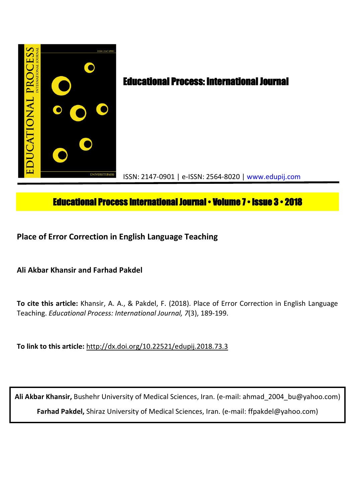

# **Educational Process International Journal • Volume 7 • Issue 3 • 2018**

**Place of Error Correction in English Language Teaching**

**Ali Akbar Khansir and Farhad Pakdel**

**To cite this article:** Khansir, A. A., & Pakdel, F. (2018). Place of Error Correction in English Language Teaching. *Educational Process: International Journal, 7*(3), 189-199.

**To link to this article:** http://dx.doi.org/10.22521/edupij.2018.73.3

**Ali Akbar Khansir,** Bushehr University of Medical Sciences, Iran. (e-mail: ahmad\_2004\_bu@yahoo.com) **Farhad Pakdel,** Shiraz University of Medical Sciences, Iran. (e-mail: ffpakdel@yahoo.com)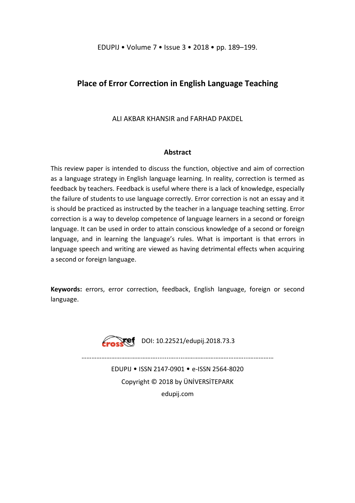## **Place of Error Correction in English Language Teaching**

ALI AKBAR KHANSIR and FARHAD PAKDEL

## **Abstract**

This review paper is intended to discuss the function, objective and aim of correction as a language strategy in English language learning. In reality, correction is termed as feedback by teachers. Feedback is useful where there is a lack of knowledge, especially the failure of students to use language correctly. Error correction is not an essay and it is should be practiced as instructed by the teacher in a language teaching setting. Error correction is a way to develop competence of language learners in a second or foreign language. It can be used in order to attain conscious knowledge of a second or foreign language, and in learning the language's rules. What is important is that errors in language speech and writing are viewed as having detrimental effects when acquiring a second or foreign language.

**Keywords:** errors, error correction, feedback, English language, foreign or second language.



**Erosett** DOI: 10.22521/edupij.2018.73.3

………………………………………........….....………………………………...……………

EDUPIJ • ISSN 2147-0901 • e-ISSN 2564-8020 Copyright © 2018 by ÜNİVERSİTEPARK edupij.com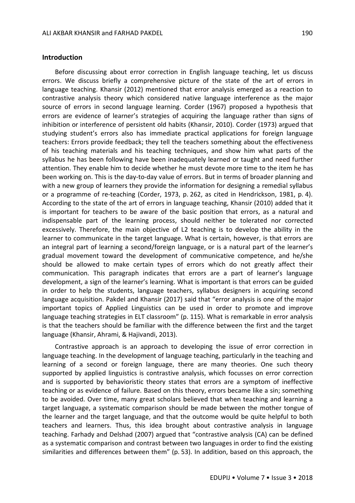### **Introduction**

Before discussing about error correction in English language teaching, let us discuss errors. We discuss briefly a comprehensive picture of the state of the art of errors in language teaching. Khansir (2012) mentioned that error analysis emerged as a reaction to contrastive analysis theory which considered native language interference as the major source of errors in second language learning. Corder (1967) proposed a hypothesis that errors are evidence of learner's strategies of acquiring the language rather than signs of inhibition or interference of persistent old habits (Khansir, 2010). Corder (1973) argued that studying student's errors also has immediate practical applications for foreign language teachers: Errors provide feedback; they tell the teachers something about the effectiveness of his teaching materials and his teaching techniques, and show him what parts of the syllabus he has been following have been inadequately learned or taught and need further attention. They enable him to decide whether he must devote more time to the item he has been working on. This is the day-to-day value of errors. But in terms of broader planning and with a new group of learners they provide the information for designing a remedial syllabus or a programme of re-teaching (Corder, 1973, p. 262, as cited in Hendrickson, 1981, p. 4). According to the state of the art of errors in language teaching, Khansir (2010) added that it is important for teachers to be aware of the basic position that errors, as a natural and indispensable part of the learning process, should neither be tolerated nor corrected excessively. Therefore, the main objective of L2 teaching is to develop the ability in the learner to communicate in the target language. What is certain, however, is that errors are an integral part of learning a second/foreign language, or is a natural part of the learner's gradual movement toward the development of communicative competence, and he/she should be allowed to make certain types of errors which do not greatly affect their communication. This paragraph indicates that errors are a part of learner's language development, a sign of the learner's learning. What is important is that errors can be guided in order to help the students, language teachers, syllabus designers in acquiring second language acquisition. Pakdel and Khansir (2017) said that "error analysis is one of the major important topics of Applied Linguistics can be used in order to promote and improve language teaching strategies in ELT classroom" (p. 115). What is remarkable in error analysis is that the teachers should be familiar with the difference between the first and the target language (Khansir, Ahrami, & Hajivandi, 2013).

Contrastive approach is an approach to developing the issue of error correction in language teaching. In the development of language teaching, particularly in the teaching and learning of a second or foreign language, there are many theories. One such theory supported by applied linguistics is contrastive analysis, which focusses on error correction and is supported by behavioristic theory states that errors are a symptom of ineffective teaching or as evidence of failure. Based on this theory, errors became like a sin; something to be avoided. Over time, many great scholars believed that when teaching and learning a target language, a systematic comparison should be made between the mother tongue of the learner and the target language, and that the outcome would be quite helpful to both teachers and learners. Thus, this idea brought about contrastive analysis in language teaching. Farhady and Delshad (2007) argued that "contrastive analysis (CA) can be defined as a systematic comparison and contrast between two languages in order to find the existing similarities and differences between them" (p. 53). In addition, based on this approach, the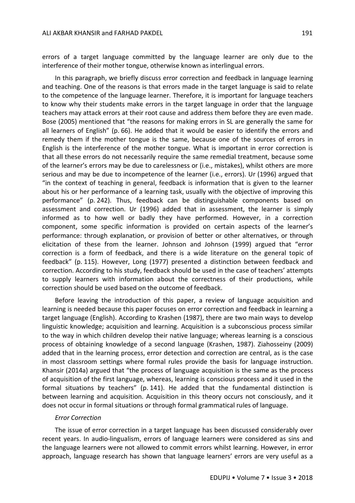errors of a target language committed by the language learner are only due to the interference of their mother tongue, otherwise known as interlingual errors.

In this paragraph, we briefly discuss error correction and feedback in language learning and teaching. One of the reasons is that errors made in the target language is said to relate to the competence of the language learner. Therefore, it is important for language teachers to know why their students make errors in the target language in order that the language teachers may attack errors at their root cause and address them before they are even made. Bose (2005) mentioned that "the reasons for making errors in SL are generally the same for all learners of English" (p. 66). He added that it would be easier to identify the errors and remedy them if the mother tongue is the same, because one of the sources of errors in English is the interference of the mother tongue. What is important in error correction is that all these errors do not necessarily require the same remedial treatment, because some of the learner's errors may be due to carelessness or (i.e., mistakes), whilst others are more serious and may be due to incompetence of the learner (i.e., errors). Ur (1996) argued that "in the context of teaching in general, feedback is information that is given to the learner about his or her performance of a learning task, usually with the objective of improving this performance" (p. 242). Thus, feedback can be distinguishable components based on assessment and correction. Ur (1996) added that in assessment, the learner is simply informed as to how well or badly they have performed. However, in a correction component, some specific information is provided on certain aspects of the learner's performance: through explanation, or provision of better or other alternatives, or through elicitation of these from the learner. Johnson and Johnson (1999) argued that "error correction is a form of feedback, and there is a wide literature on the general topic of feedback" (p. 115). However, Long (1977) presented a distinction between feedback and correction. According to his study, feedback should be used in the case of teachers' attempts to supply learners with information about the correctness of their productions, while correction should be used based on the outcome of feedback.

Before leaving the introduction of this paper, a review of language acquisition and learning is needed because this paper focuses on error correction and feedback in learning a target language (English). According to Krashen (1987), there are two main ways to develop linguistic knowledge; acquisition and learning. Acquisition is a subconscious process similar to the way in which children develop their native language; whereas learning is a conscious process of obtaining knowledge of a second language (Krashen, 1987). Ziahosseiny (2009) added that in the learning process, error detection and correction are central, as is the case in most classroom settings where formal rules provide the basis for language instruction. Khansir (2014a) argued that "the process of language acquisition is the same as the process of acquisition of the first language, whereas, learning is conscious process and it used in the formal situations by teachers" (p. 141). He added that the fundamental distinction is between learning and acquisition. Acquisition in this theory occurs not consciously, and it does not occur in formal situations or through formal grammatical rules of language.

#### *Error Correction*

The issue of error correction in a target language has been discussed considerably over recent years. In audio-lingualism, errors of language learners were considered as sins and the language learners were not allowed to commit errors whilst learning. However, in error approach, language research has shown that language learners' errors are very useful as a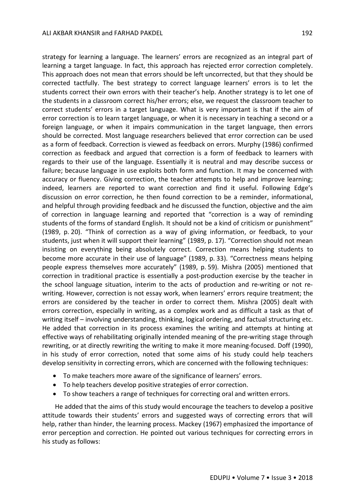strategy for learning a language. The learners' errors are recognized as an integral part of learning a target language. In fact, this approach has rejected error correction completely. This approach does not mean that errors should be left uncorrected, but that they should be corrected tactfully. The best strategy to correct language learners' errors is to let the students correct their own errors with their teacher's help. Another strategy is to let one of the students in a classroom correct his/her errors; else, we request the classroom teacher to correct students' errors in a target language. What is very important is that if the aim of error correction is to learn target language, or when it is necessary in teaching a second or a foreign language, or when it impairs communication in the target language, then errors should be corrected. Most language researchers believed that error correction can be used as a form of feedback. Correction is viewed as feedback on errors. Murphy (1986) confirmed correction as feedback and argued that correction is a form of feedback to learners with regards to their use of the language. Essentially it is neutral and may describe success or failure; because language in use exploits both form and function. It may be concerned with accuracy or fluency. Giving correction, the teacher attempts to help and improve learning; indeed, learners are reported to want correction and find it useful. Following Edge's discussion on error correction, he then found correction to be a reminder, informational, and helpful through providing feedback and he discussed the function, objective and the aim of correction in language learning and reported that "correction is a way of reminding students of the forms of standard English. It should not be a kind of criticism or punishment" (1989, p. 20). "Think of correction as a way of giving information, or feedback, to your students, just when it will support their learning" (1989, p. 17). "Correction should not mean insisting on everything being absolutely correct. Correction means helping students to become more accurate in their use of language" (1989, p. 33). "Correctness means helping people express themselves more accurately" (1989, p. 59). Mishra (2005) mentioned that correction in traditional practice is essentially a post-production exercise by the teacher in the school language situation, interim to the acts of production and re-writing or not rewriting. However, correction is not essay work, when learners' errors require treatment; the errors are considered by the teacher in order to correct them. Mishra (2005) dealt with errors correction, especially in writing, as a complex work and as difficult a task as that of writing itself – involving understanding, thinking, logical ordering, and factual structuring etc. He added that correction in its process examines the writing and attempts at hinting at effective ways of rehabilitating originally intended meaning of the pre-writing stage through rewriting, or at directly rewriting the writing to make it more meaning-focused. Doff (1990), in his study of error correction, noted that some aims of his study could help teachers develop sensitivity in correcting errors, which are concerned with the following techniques:

- To make teachers more aware of the significance of learners' errors.
- To help teachers develop positive strategies of error correction.
- To show teachers a range of techniques for correcting oral and written errors.

He added that the aims of this study would encourage the teachers to develop a positive attitude towards their students' errors and suggested ways of correcting errors that will help, rather than hinder, the learning process. Mackey (1967) emphasized the importance of error perception and correction. He pointed out various techniques for correcting errors in his study as follows: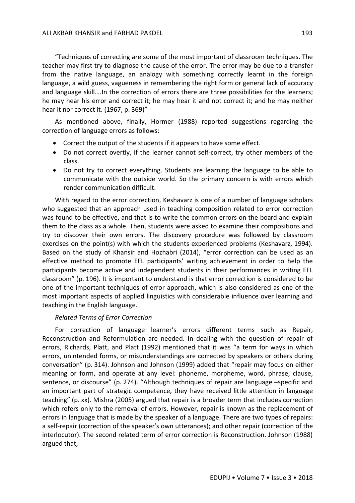"Techniques of correcting are some of the most important of classroom techniques. The teacher may first try to diagnose the cause of the error. The error may be due to a transfer from the native language, an analogy with something correctly learnt in the foreign language, a wild guess, vagueness in remembering the right form or general lack of accuracy and language skill….In the correction of errors there are three possibilities for the learners; he may hear his error and correct it; he may hear it and not correct it; and he may neither hear it nor correct it. (1967, p. 369)"

As mentioned above, finally, Hormer (1988) reported suggestions regarding the correction of language errors as follows:

- Correct the output of the students if it appears to have some effect.
- Do not correct overtly, if the learner cannot self-correct, try other members of the class.
- Do not try to correct everything. Students are learning the language to be able to communicate with the outside world. So the primary concern is with errors which render communication difficult.

With regard to the error correction, Keshavarz is one of a number of language scholars who suggested that an approach used in teaching composition related to error correction was found to be effective, and that is to write the common errors on the board and explain them to the class as a whole. Then, students were asked to examine their compositions and try to discover their own errors. The discovery procedure was followed by classroom exercises on the point(s) with which the students experienced problems (Keshavarz, 1994). Based on the study of Khansir and Hozhabri (2014), "error correction can be used as an effective method to promote EFL participants' writing achievement in order to help the participants become active and independent students in their performances in writing EFL classroom" (p. 196). It is important to understand is that error correction is considered to be one of the important techniques of error approach, which is also considered as one of the most important aspects of applied linguistics with considerable influence over learning and teaching in the English language.

## *Related Terms of Error Correction*

For correction of language learner's errors different terms such as Repair, Reconstruction and Reformulation are needed. In dealing with the question of repair of errors, Richards, Platt, and Platt (1992) mentioned that it was "a term for ways in which errors, unintended forms, or misunderstandings are corrected by speakers or others during conversation" (p. 314). Johnson and Johnson (1999) added that "repair may focus on either meaning or form, and operate at any level: phoneme, morpheme, word, phrase, clause, sentence, or discourse" (p. 274). "Although techniques of repair are language –specific and an important part of strategic competence, they have received little attention in language teaching" (p. xx). Mishra (2005) argued that repair is a broader term that includes correction which refers only to the removal of errors. However, repair is known as the replacement of errors in language that is made by the speaker of a language. There are two types of repairs: a self-repair (correction of the speaker's own utterances); and other repair (correction of the interlocutor). The second related term of error correction is Reconstruction. Johnson (1988) argued that,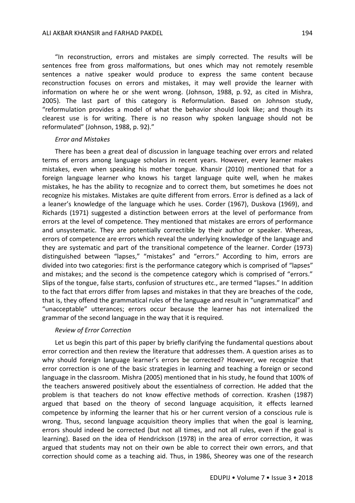"In reconstruction, errors and mistakes are simply corrected. The results will be sentences free from gross malformations, but ones which may not remotely resemble sentences a native speaker would produce to express the same content because reconstruction focuses on errors and mistakes, it may well provide the learner with information on where he or she went wrong. (Johnson, 1988, p. 92, as cited in Mishra, 2005). The last part of this category is Reformulation. Based on Johnson study, "reformulation provides a model of what the behavior should look like; and though its clearest use is for writing. There is no reason why spoken language should not be reformulated" (Johnson, 1988, p. 92)."

#### *Error and Mistakes*

There has been a great deal of discussion in language teaching over errors and related terms of errors among language scholars in recent years. However, every learner makes mistakes, even when speaking his mother tongue. Khansir (2010) mentioned that for a foreign language learner who knows his target language quite well, when he makes mistakes, he has the ability to recognize and to correct them, but sometimes he does not recognize his mistakes. Mistakes are quite different from errors. Error is defined as a lack of a leaner's knowledge of the language which he uses. Corder (1967), Duskova (1969), and Richards (1971) suggested a distinction between errors at the level of performance from errors at the level of competence. They mentioned that mistakes are errors of performance and unsystematic. They are potentially correctible by their author or speaker. Whereas, errors of competence are errors which reveal the underlying knowledge of the language and they are systematic and part of the transitional competence of the learner. Corder (1973) distinguished between "lapses," "mistakes" and "errors." According to him, errors are divided into two categories: first is the performance category which is comprised of "lapses" and mistakes; and the second is the competence category which is comprised of "errors." Slips of the tongue, false starts, confusion of structures etc., are termed "lapses." In addition to the fact that errors differ from lapses and mistakes in that they are breaches of the code, that is, they offend the grammatical rules of the language and result in "ungrammatical" and "unacceptable" utterances; errors occur because the learner has not internalized the grammar of the second language in the way that it is required.

#### *Review of Error Correction*

Let us begin this part of this paper by briefly clarifying the fundamental questions about error correction and then review the literature that addresses them. A question arises as to why should foreign language learner's errors be corrected? However, we recognize that error correction is one of the basic strategies in learning and teaching a foreign or second language in the classroom. Mishra (2005) mentioned that in his study, he found that 100% of the teachers answered positively about the essentialness of correction. He added that the problem is that teachers do not know effective methods of correction. Krashen (1987) argued that based on the theory of second language acquisition, it effects learned competence by informing the learner that his or her current version of a conscious rule is wrong. Thus, second language acquisition theory implies that when the goal is learning, errors should indeed be corrected (but not all times, and not all rules, even if the goal is learning). Based on the idea of Hendrickson (1978) in the area of error correction, it was argued that students may not on their own be able to correct their own errors, and that correction should come as a teaching aid. Thus, in 1986, Sheorey was one of the research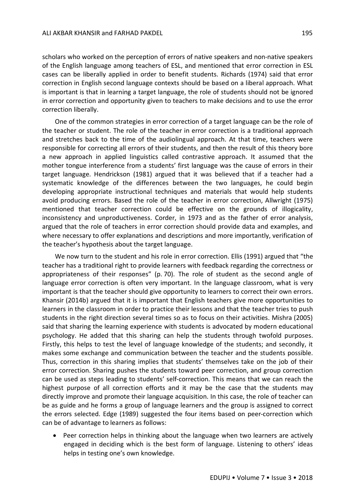scholars who worked on the perception of errors of native speakers and non-native speakers of the English language among teachers of ESL, and mentioned that error correction in ESL cases can be liberally applied in order to benefit students. Richards (1974) said that error correction in English second language contexts should be based on a liberal approach. What is important is that in learning a target language, the role of students should not be ignored in error correction and opportunity given to teachers to make decisions and to use the error correction liberally.

One of the common strategies in error correction of a target language can be the role of the teacher or student. The role of the teacher in error correction is a traditional approach and stretches back to the time of the audiolingual approach. At that time, teachers were responsible for correcting all errors of their students, and then the result of this theory bore a new approach in applied linguistics called contrastive approach. It assumed that the mother tongue interference from a students' first language was the cause of errors in their target language. Hendrickson (1981) argued that it was believed that if a teacher had a systematic knowledge of the differences between the two languages, he could begin developing appropriate instructional techniques and materials that would help students avoid producing errors. Based the role of the teacher in error correction, Allwright (1975) mentioned that teacher correction could be effective on the grounds of illogicality, inconsistency and unproductiveness. Corder, in 1973 and as the father of error analysis, argued that the role of teachers in error correction should provide data and examples, and where necessary to offer explanations and descriptions and more importantly, verification of the teacher's hypothesis about the target language.

We now turn to the student and his role in error correction. Ellis (1991) argued that "the teacher has a traditional right to provide learners with feedback regarding the correctness or appropriateness of their responses" (p. 70). The role of student as the second angle of language error correction is often very important. In the language classroom, what is very important is that the teacher should give opportunity to learners to correct their own errors. Khansir (2014b) argued that it is important that English teachers give more opportunities to learners in the classroom in order to practice their lessons and that the teacher tries to push students in the right direction several times so as to focus on their activities. Mishra (2005) said that sharing the learning experience with students is advocated by modern educational psychology. He added that this sharing can help the students through twofold purposes. Firstly, this helps to test the level of language knowledge of the students; and secondly, it makes some exchange and communication between the teacher and the students possible. Thus, correction in this sharing implies that students' themselves take on the job of their error correction. Sharing pushes the students toward peer correction, and group correction can be used as steps leading to students' self-correction. This means that we can reach the highest purpose of all correction efforts and it may be the case that the students may directly improve and promote their language acquisition. In this case, the role of teacher can be as guide and he forms a group of language learners and the group is assigned to correct the errors selected. Edge (1989) suggested the four items based on peer-correction which can be of advantage to learners as follows:

 Peer correction helps in thinking about the language when two learners are actively engaged in deciding which is the best form of language. Listening to others' ideas helps in testing one's own knowledge.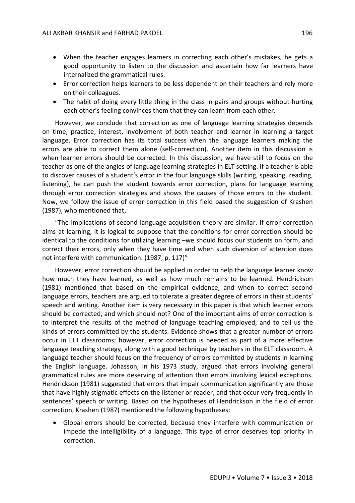- When the teacher engages learners in correcting each other's mistakes, he gets a good opportunity to listen to the discussion and ascertain how far learners have internalized the grammatical rules.
- Error correction helps learners to be less dependent on their teachers and rely more on their colleagues.
- The habit of doing every little thing in the class in pairs and groups without hurting each other's feeling convinces them that they can learn from each other.

However, we conclude that correction as one of language learning strategies depends on time, practice, interest, involvement of both teacher and learner in learning a target language. Error correction has its total success when the language learners making the errors are able to correct them alone (self-correction). Another item in this discussion is when learner errors should be corrected. In this discussion, we have still to focus on the teacher as one of the angles of language learning strategies in ELT setting. If a teacher is able to discover causes of a student's error in the four language skills (writing, speaking, reading, listening), he can push the student towards error correction, plans for language learning through error correction strategies and shows the causes of those errors to the student. Now, we follow the issue of error correction in this field based the suggestion of Krashen (1987), who mentioned that,

"The implications of second language acquisition theory are similar. If error correction aims at learning, it is logical to suppose that the conditions for error correction should be identical to the conditions for utilizing learning –we should focus our students on form, and correct their errors, only when they have time and when such diversion of attention does not interfere with communication. (1987, p. 117)"

However, error correction should be applied in order to help the language learner know how much they have learned, as well as how much remains to be learned. Hendrickson (1981) mentioned that based on the empirical evidence, and when to correct second language errors, teachers are argued to tolerate a greater degree of errors in their students' speech and writing. Another item is very necessary in this paper is that which learner errors should be corrected, and which should not? One of the important aims of error correction is to interpret the results of the method of language teaching employed, and to tell us the kinds of errors committed by the students. Evidence shows that a greater number of errors occur in ELT classrooms; however, error correction is needed as part of a more effective language teaching strategy, along with a good technique by teachers in the ELT classroom. A language teacher should focus on the frequency of errors committed by students in learning the English language. Johasson, in his 1973 study, argued that errors involving general grammatical rules are more deserving of attention than errors involving lexical exceptions. Hendrickson (1981) suggested that errors that impair communication significantly are those that have highly stigmatic effects on the listener or reader, and that occur very frequently in sentences' speech or writing. Based on the hypotheses of Hendrickson in the field of error correction, Krashen (1987) mentioned the following hypotheses:

 Global errors should be corrected, because they interfere with communication or impede the intelligibility of a language. This type of error deserves top priority in correction.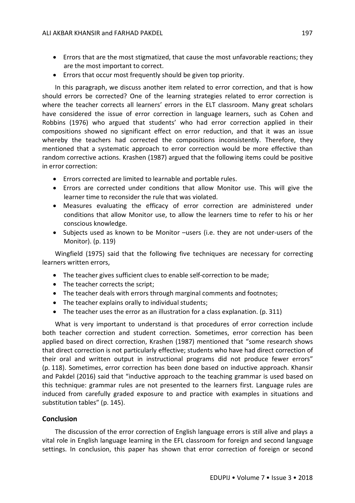- Errors that are the most stigmatized, that cause the most unfavorable reactions; they are the most important to correct.
- Errors that occur most frequently should be given top priority.

In this paragraph, we discuss another item related to error correction, and that is how should errors be corrected? One of the learning strategies related to error correction is where the teacher corrects all learners' errors in the ELT classroom. Many great scholars have considered the issue of error correction in language learners, such as Cohen and Robbins (1976) who argued that students' who had error correction applied in their compositions showed no significant effect on error reduction, and that it was an issue whereby the teachers had corrected the compositions inconsistently. Therefore, they mentioned that a systematic approach to error correction would be more effective than random corrective actions. Krashen (1987) argued that the following items could be positive in error correction:

- Errors corrected are limited to learnable and portable rules.
- Errors are corrected under conditions that allow Monitor use. This will give the learner time to reconsider the rule that was violated.
- Measures evaluating the efficacy of error correction are administered under conditions that allow Monitor use, to allow the learners time to refer to his or her conscious knowledge.
- Subjects used as known to be Monitor –users (i.e. they are not under-users of the Monitor). (p. 119)

Wingfield (1975) said that the following five techniques are necessary for correcting learners written errors,

- The teacher gives sufficient clues to enable self-correction to be made;
- The teacher corrects the script;
- The teacher deals with errors through marginal comments and footnotes;
- The teacher explains orally to individual students;
- The teacher uses the error as an illustration for a class explanation. (p. 311)

What is very important to understand is that procedures of error correction include both teacher correction and student correction. Sometimes, error correction has been applied based on direct correction, Krashen (1987) mentioned that "some research shows that direct correction is not particularly effective; students who have had direct correction of their oral and written output in instructional programs did not produce fewer errors" (p. 118). Sometimes, error correction has been done based on inductive approach. Khansir and Pakdel (2016) said that "inductive approach to the teaching grammar is used based on this technique: grammar rules are not presented to the learners first. Language rules are induced from carefully graded exposure to and practice with examples in situations and substitution tables" (p. 145).

## **Conclusion**

The discussion of the error correction of English language errors is still alive and plays a vital role in English language learning in the EFL classroom for foreign and second language settings. In conclusion, this paper has shown that error correction of foreign or second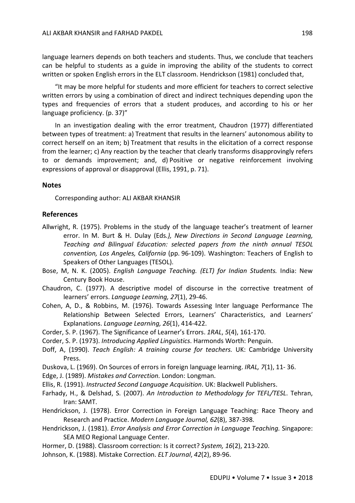language learners depends on both teachers and students. Thus, we conclude that teachers can be helpful to students as a guide in improving the ability of the students to correct written or spoken English errors in the ELT classroom. Hendrickson (1981) concluded that,

"It may be more helpful for students and more efficient for teachers to correct selective written errors by using a combination of direct and indirect techniques depending upon the types and frequencies of errors that a student produces, and according to his or her language proficiency. (p. 37)"

In an investigation dealing with the error treatment, Chaudron (1977) differentiated between types of treatment: a) Treatment that results in the learners' autonomous ability to correct herself on an item; b) Treatment that results in the elicitation of a correct response from the learner; c) Any reaction by the teacher that clearly transforms disapprovingly refers to or demands improvement; and, d) Positive or negative reinforcement involving expressions of approval or disapproval (Ellis, 1991, p. 71).

## **Notes**

Corresponding author: ALI AKBAR KHANSIR

## **References**

- Allwright, R. (1975). Problems in the study of the language teacher's treatment of learner error. In M. Burt & H. Dulay (Eds*.), New Directions in Second Language Learning, Teaching and Bilingual Education: selected papers from the ninth annual TESOL convention, Los Angeles, California* (pp. 96-109). Washington: Teachers of English to Speakers of Other Languages (TESOL).
- Bose, M, N. K. (2005). *English Language Teaching. (ELT) for Indian Students.* India: New Century Book House.
- Chaudron, C. (1977). A descriptive model of discourse in the corrective treatment of learners' errors. *Language Learning, 27*(1), 29-46.
- Cohen, A, D., & Robbins, M. (1976). Towards Assessing Inter language Performance The Relationship Between Selected Errors, Learners' Characteristics, and Learners' Explanations. *Language Learning, 26*(1), 414-422.
- Corder, S. P. (1967). The Significance of Learner's Errors. *1RAL*, *5*(4), 161-170.
- Corder, S. P. (1973). *Introducing Applied Linguistics*. Harmonds Worth: Penguin.
- Doff, A, (1990). *Teach English: A training course for teachers.* UK: Cambridge University Press.
- Duskova, L. (1969). On Sources of errors in foreign language learning. *IRAL, 7*(1), 11- 36.
- Edge, J. (1989). *Mistakes and Correction.* London: Longman.
- Ellis, R. (1991). *Instructed Second Language Acquisition*. UK: Blackwell Publishers.
- Farhady, H., & Delshad, S. (2007). *An Introduction to Methodology for TEFL/TESL*. Tehran, Iran: SAMT.
- Hendrickson, J. (1978). Error Correction in Foreign Language Teaching: Race Theory and Research and Practice. *Modern Language Journal, 62*(8), 387-398.
- Hendrickson, J. (1981). *Error Analysis and Error Correction in Language Teaching.* Singapore: SEA MEO Regional Language Center.
- Hormer, D. (1988). Classroom correction: Is it correct? *System, 16*(2), 213-220.
- Johnson, K. (1988). Mistake Correction. *ELT Journal*, *42*(2), 89-96.